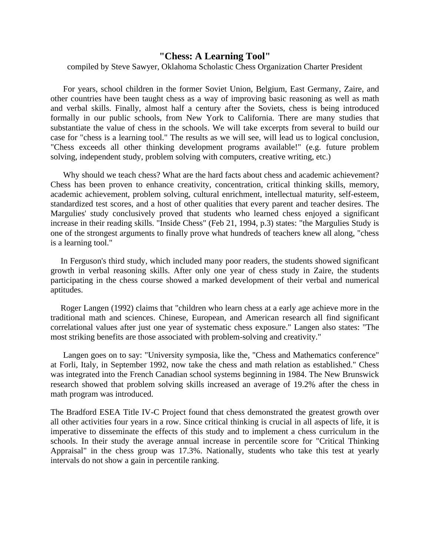## **"Chess: A Learning Tool"**

compiled by Steve Sawyer, Oklahoma Scholastic Chess Organization Charter President

For years, school children in the former Soviet Union, Belgium, East Germany, Zaire, and other countries have been taught chess as a way of improving basic reasoning as well as math and verbal skills. Finally, almost half a century after the Soviets, chess is being introduced formally in our public schools, from New York to California. There are many studies that substantiate the value of chess in the schools. We will take excerpts from several to build our case for "chess is a learning tool." The results as we will see, will lead us to logical conclusion, "Chess exceeds all other thinking development programs available!" (e.g. future problem solving, independent study, problem solving with computers, creative writing, etc.)

Why should we teach chess? What are the hard facts about chess and academic achievement? Chess has been proven to enhance creativity, concentration, critical thinking skills, memory, academic achievement, problem solving, cultural enrichment, intellectual maturity, self-esteem, standardized test scores, and a host of other qualities that every parent and teacher desires. The Margulies' study conclusively proved that students who learned chess enjoyed a significant increase in their reading skills. "Inside Chess" (Feb 21, 1994, p.3) states: "the Margulies Study is one of the strongest arguments to finally prove what hundreds of teachers knew all along, "chess is a learning tool."

In Ferguson's third study, which included many poor readers, the students showed significant growth in verbal reasoning skills. After only one year of chess study in Zaire, the students participating in the chess course showed a marked development of their verbal and numerical aptitudes.

Roger Langen (1992) claims that "children who learn chess at a early age achieve more in the traditional math and sciences. Chinese, European, and American research all find significant correlational values after just one year of systematic chess exposure." Langen also states: "The most striking benefits are those associated with problem-solving and creativity."

Langen goes on to say: "University symposia, like the, "Chess and Mathematics conference" at Forli, Italy, in September 1992, now take the chess and math relation as established." Chess was integrated into the French Canadian school systems beginning in 1984. The New Brunswick research showed that problem solving skills increased an average of 19.2% after the chess in math program was introduced.

The Bradford ESEA Title IV-C Project found that chess demonstrated the greatest growth over all other activities four years in a row. Since critical thinking is crucial in all aspects of life, it is imperative to disseminate the effects of this study and to implement a chess curriculum in the schools. In their study the average annual increase in percentile score for "Critical Thinking Appraisal" in the chess group was 17.3%. Nationally, students who take this test at yearly intervals do not show a gain in percentile ranking.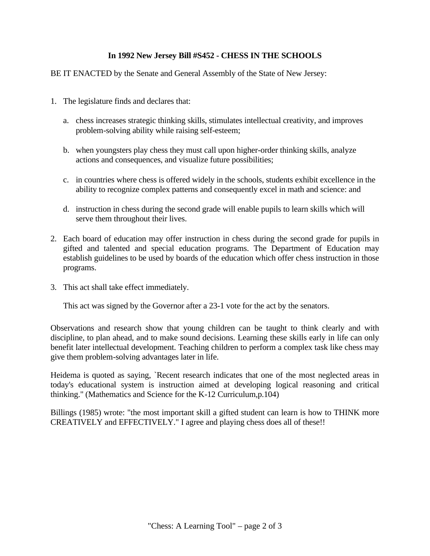## **In 1992 New Jersey Bill #S452 - CHESS IN THE SCHOOLS**

## BE IT ENACTED by the Senate and General Assembly of the State of New Jersey:

- 1. The legislature finds and declares that:
	- a. chess increases strategic thinking skills, stimulates intellectual creativity, and improves problem-solving ability while raising self-esteem;
	- b. when youngsters play chess they must call upon higher-order thinking skills, analyze actions and consequences, and visualize future possibilities;
	- c. in countries where chess is offered widely in the schools, students exhibit excellence in the ability to recognize complex patterns and consequently excel in math and science: and
	- d. instruction in chess during the second grade will enable pupils to learn skills which will serve them throughout their lives.
- 2. Each board of education may offer instruction in chess during the second grade for pupils in gifted and talented and special education programs. The Department of Education may establish guidelines to be used by boards of the education which offer chess instruction in those programs.
- 3. This act shall take effect immediately.

This act was signed by the Governor after a 23-1 vote for the act by the senators.

Observations and research show that young children can be taught to think clearly and with discipline, to plan ahead, and to make sound decisions. Learning these skills early in life can only benefit later intellectual development. Teaching children to perform a complex task like chess may give them problem-solving advantages later in life.

Heidema is quoted as saying, `Recent research indicates that one of the most neglected areas in today's educational system is instruction aimed at developing logical reasoning and critical thinking." (Mathematics and Science for the K-12 Curriculum,p.104)

Billings (1985) wrote: "the most important skill a gifted student can learn is how to THINK more CREATIVELY and EFFECTIVELY." I agree and playing chess does all of these!!